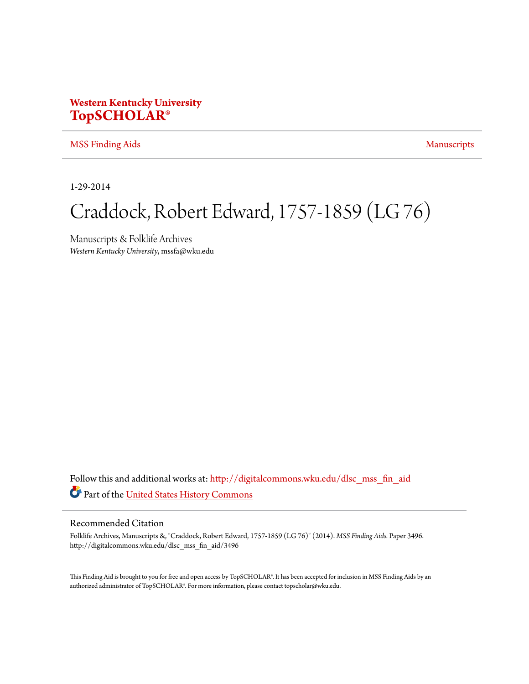## **Western Kentucky University [TopSCHOLAR®](http://digitalcommons.wku.edu?utm_source=digitalcommons.wku.edu%2Fdlsc_mss_fin_aid%2F3496&utm_medium=PDF&utm_campaign=PDFCoverPages)**

#### [MSS Finding Aids](http://digitalcommons.wku.edu/dlsc_mss_fin_aid?utm_source=digitalcommons.wku.edu%2Fdlsc_mss_fin_aid%2F3496&utm_medium=PDF&utm_campaign=PDFCoverPages) [Manuscripts](http://digitalcommons.wku.edu/dlsc_mss?utm_source=digitalcommons.wku.edu%2Fdlsc_mss_fin_aid%2F3496&utm_medium=PDF&utm_campaign=PDFCoverPages) Manuscripts

1-29-2014

# Craddock, Robert Edward, 1757-1859 (LG 76)

Manuscripts & Folklife Archives *Western Kentucky University*, mssfa@wku.edu

Follow this and additional works at: [http://digitalcommons.wku.edu/dlsc\\_mss\\_fin\\_aid](http://digitalcommons.wku.edu/dlsc_mss_fin_aid?utm_source=digitalcommons.wku.edu%2Fdlsc_mss_fin_aid%2F3496&utm_medium=PDF&utm_campaign=PDFCoverPages) Part of the [United States History Commons](http://network.bepress.com/hgg/discipline/495?utm_source=digitalcommons.wku.edu%2Fdlsc_mss_fin_aid%2F3496&utm_medium=PDF&utm_campaign=PDFCoverPages)

#### Recommended Citation

Folklife Archives, Manuscripts &, "Craddock, Robert Edward, 1757-1859 (LG 76)" (2014). *MSS Finding Aids.* Paper 3496. http://digitalcommons.wku.edu/dlsc\_mss\_fin\_aid/3496

This Finding Aid is brought to you for free and open access by TopSCHOLAR®. It has been accepted for inclusion in MSS Finding Aids by an authorized administrator of TopSCHOLAR®. For more information, please contact topscholar@wku.edu.